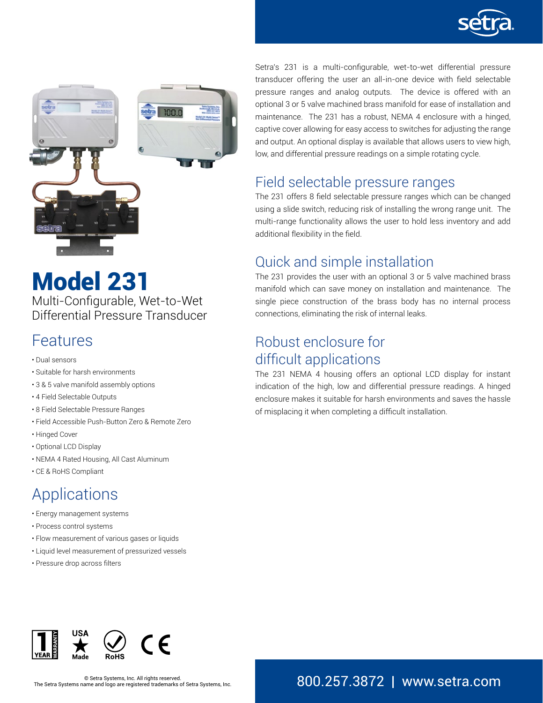



# Model 231

Multi-Configurable, Wet-to-Wet Differential Pressure Transducer

### Features

- Dual sensors
- Suitable for harsh environments
- 3 & 5 valve manifold assembly options
- 4 Field Selectable Outputs
- 8 Field Selectable Pressure Ranges
- Field Accessible Push-Button Zero & Remote Zero
- Hinged Cover
- Optional LCD Display
- NEMA 4 Rated Housing, All Cast Aluminum
- CE & RoHS Compliant

# Applications

- Energy management systems
- Process control systems
- Flow measurement of various gases or liquids
- Liquid level measurement of pressurized vessels
- Pressure drop across filters

Setra's 231 is a multi-configurable, wet-to-wet differential pressure transducer offering the user an all-in-one device with field selectable pressure ranges and analog outputs. The device is offered with an optional 3 or 5 valve machined brass manifold for ease of installation and maintenance. The 231 has a robust, NEMA 4 enclosure with a hinged, captive cover allowing for easy access to switches for adjusting the range and output. An optional display is available that allows users to view high, low, and differential pressure readings on a simple rotating cycle.

### Field selectable pressure ranges

The 231 offers 8 field selectable pressure ranges which can be changed using a slide switch, reducing risk of installing the wrong range unit. The multi-range functionality allows the user to hold less inventory and add additional flexibility in the field.

### Quick and simple installation

The 231 provides the user with an optional 3 or 5 valve machined brass manifold which can save money on installation and maintenance. The single piece construction of the brass body has no internal process connections, eliminating the risk of internal leaks.

### Robust enclosure for difficult applications

The 231 NEMA 4 housing offers an optional LCD display for instant indication of the high, low and differential pressure readings. A hinged enclosure makes it suitable for harsh environments and saves the hassle of misplacing it when completing a difficult installation.

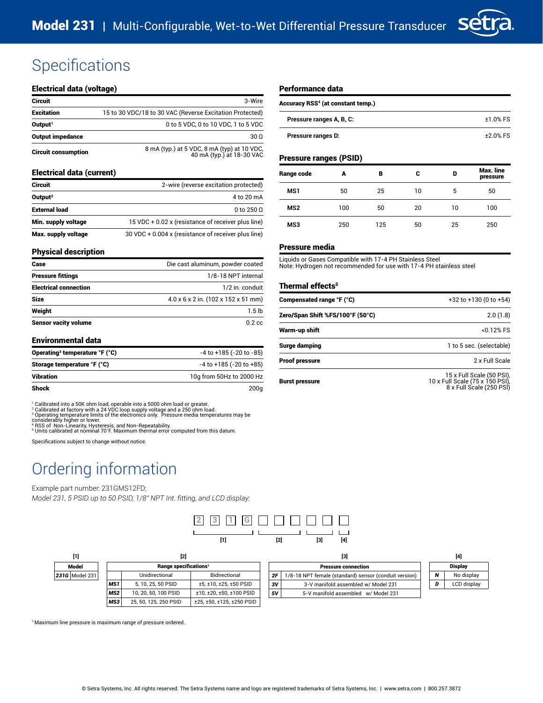

#### Electrical data (voltage)

| Circuit                     | 3-Wire                                                                   |
|-----------------------------|--------------------------------------------------------------------------|
| <b>Excitation</b>           | 15 to 30 VDC/18 to 30 VAC (Reverse Excitation Protected)                 |
| Output <sup>1</sup>         | 0 to 5 VDC, 0 to 10 VDC, 1 to 5 VDC                                      |
| Output impedance            | $30\Omega$                                                               |
| <b>Circuit consumption</b>  | 8 mA (typ.) at 5 VDC, 8 mA (typ) at 10 VDC,<br>40 mA (typ.) at 18-30 VAC |
| Electrical data (current)   |                                                                          |
| Circuit                     | 2-wire (reverse excitation protected)                                    |
| Output <sup>2</sup>         | 4 to 20 mA                                                               |
| <b>External load</b>        | 0 to 250 $\Omega$                                                        |
| Min. supply voltage         | 15 VDC + 0.02 x (resistance of receiver plus line)                       |
| Max. supply voltage         | 30 VDC + 0.004 x (resistance of receiver plus line)                      |
| <b>Physical description</b> |                                                                          |
| <b>Caco</b>                 | Die eset aluminum nowder costed                                          |

#### Performance data

| Accuracy RSS <sup>4</sup> (at constant temp.) |            |  |  |  |
|-----------------------------------------------|------------|--|--|--|
| Pressure ranges A, B, C:                      | $±1.0%$ FS |  |  |  |
| Pressure ranges D:                            | $+2.0%$ FS |  |  |  |

#### Pressure ranges (PSID)

| Range code      | A   | в   | с  | D  | Max. line<br>pressure |
|-----------------|-----|-----|----|----|-----------------------|
| MS1             | 50  | 25  | 10 | 5  | 50                    |
| MS <sub>2</sub> | 100 | 50  | 20 | 10 | 100                   |
| MS3             | 250 | 125 | 50 | 25 | 250                   |

#### Pressure media

Liquids or Gases Compatible with 17-4 PH Stainless Steel Note: Hydrogen not recommended for use with 17-4 PH stainless steel

#### Thermal effects<sup>5</sup>

| Compensated range °F (°C)        | $+32$ to $+130$ (0 to $+54$ )                                                            |
|----------------------------------|------------------------------------------------------------------------------------------|
| Zero/Span Shift %FS/100°F (50°C) | 2.0(1.8)                                                                                 |
| Warm-up shift                    | $< 0.12%$ FS                                                                             |
| Surge damping                    | 1 to 5 sec. (selectable)                                                                 |
| Proof pressure                   | 2 x Full Scale                                                                           |
| Burst pressure                   | 15 x Full Scale (50 PSI),<br>10 x Full Scale (75 x 150 PSI),<br>8 x Full Scale (250 PSI) |

| Case                         | Die cast aluminum, powder coated    |
|------------------------------|-------------------------------------|
| <b>Pressure fittings</b>     | 1/8-18 NPT internal                 |
| <b>Electrical connection</b> | 1/2 in. conduit                     |
| <b>Size</b>                  | 4.0 x 6 x 2 in. (102 x 152 x 51 mm) |
| Weight                       | 1.5 <sub>lb</sub>                   |
| <b>Sensor vacity volume</b>  | $0.2$ cc                            |

#### Environmental data

| Operating <sup>3</sup> temperature °F (°C) | $-4$ to $+185$ ( $-20$ to $-85$ ) |
|--------------------------------------------|-----------------------------------|
| Storage temperature °F (°C)                | $-4$ to $+185$ ( $-20$ to $+85$ ) |
| Vibration                                  | 10g from 50Hz to 2000 Hz          |
| Shock                                      | 200a                              |

<sup>1</sup> Calibrated into a 50K ohm load, operable into a 5000 ohm load or greater.<br><sup>2</sup> Calibrated at factory with a 24 VDC loop supply voltage and a 250 ohm load.<br><sup>2</sup> Operating temperature limits of the electronics only. Pressu

Specifications subject to change without notice.

# Ordering information

#### Example part number: 231GMS12FD;

*Model 231, 5 PSID up to 50 PSID, 1/8" NPT Int. fitting, and LCD display:*



| [1]                   | [2]                               |                       |                           | $[3]$                      |                                                       |  | [4]            |             |
|-----------------------|-----------------------------------|-----------------------|---------------------------|----------------------------|-------------------------------------------------------|--|----------------|-------------|
| Model                 | Range specifications <sup>1</sup> |                       |                           | <b>Pressure connection</b> |                                                       |  | <b>Display</b> |             |
| <b>231G</b> Model 231 |                                   | Unidirectional        | Bidirectional             | 2F                         | 1/8-18 NPT female (standard) sensor (conduit version) |  | N              | No display  |
|                       | MS1                               | 5.10, 25, 50 PSID     | $±5, ±10, ±25, ±50$ PSID  | 3V                         | 3-V manifold assembled w/ Model 231                   |  |                | LCD display |
|                       | MS <sub>2</sub>                   | 10, 20, 50, 100 PSID  | ±10, ±20, ±50, ±100 PSID  | 5٧                         | 5-V manifold assembled w/ Model 231                   |  |                |             |
|                       | MS3                               | 25, 50, 125, 250 PSID | ±25, ±50, ±125, ±250 PSID |                            |                                                       |  |                |             |

<sup>1</sup> Maximum line pressure is maximum range of pressure ordered.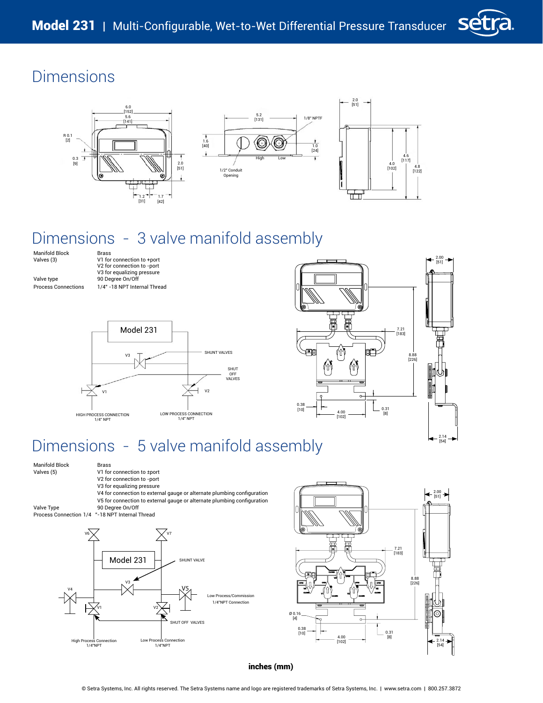



# Dimensions - 3 valve manifold assembly

Manifold Block Brass<br>Valves (3) V1 for

V1 for connection to +port V2 for connection to -port V3 for equalizing pressure<br>Valve type 90 Degree On/Off Value type the control of the 90 Degree On/Off Process Connections 1/4" -18 NPT Internal Thread





# Dimensions - 5 valve manifold assembly

Manifold Block Brass<br>Valves (5) V1 for

- V1 for connection to ±port V2 for connection to -port V3 for equalizing pressure
- V4 for connection to external gauge or alternate plumbing configuration

V5 for connection to external gauge or alternate plumbing configuration Valve Type 90 Degree On/Off

Process Connection 1/4 "-18 NPT Internal Thread





inches (mm)